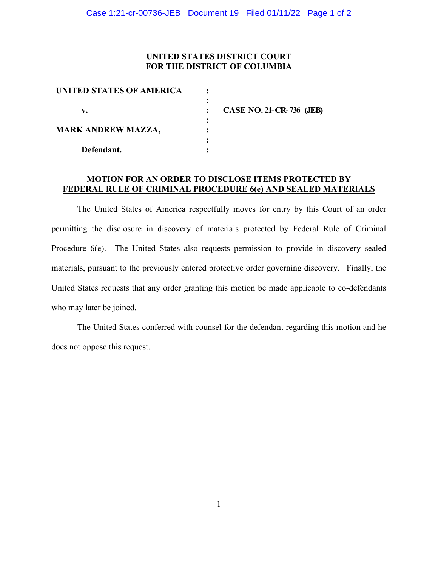## **UNITED STATES DISTRICT COURT FOR THE DISTRICT OF COLUMBIA**

| UNITED STATES OF AMERICA  |                                 |
|---------------------------|---------------------------------|
|                           |                                 |
| v.                        | <b>CASE NO. 21-CR-736 (JEB)</b> |
|                           |                                 |
| <b>MARK ANDREW MAZZA,</b> |                                 |
|                           |                                 |
| Defendant.                |                                 |

## **MOTION FOR AN ORDER TO DISCLOSE ITEMS PROTECTED BY FEDERAL RULE OF CRIMINAL PROCEDURE 6(e) AND SEALED MATERIALS**

The United States of America respectfully moves for entry by this Court of an order permitting the disclosure in discovery of materials protected by Federal Rule of Criminal Procedure 6(e). The United States also requests permission to provide in discovery sealed materials, pursuant to the previously entered protective order governing discovery. Finally, the United States requests that any order granting this motion be made applicable to co-defendants who may later be joined.

The United States conferred with counsel for the defendant regarding this motion and he does not oppose this request.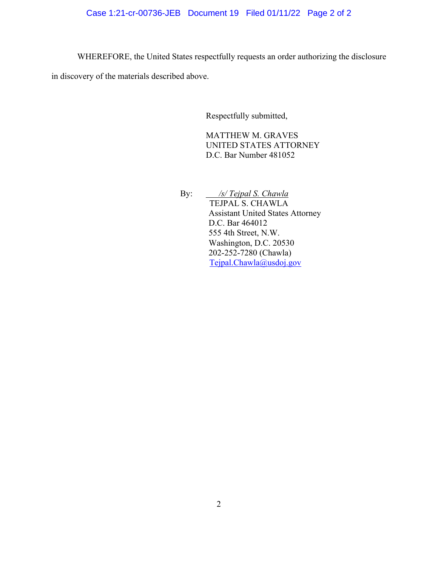# Case 1:21-cr-00736-JEB Document 19 Filed 01/11/22 Page 2 of 2

WHEREFORE, the United States respectfully requests an order authorizing the disclosure

in discovery of the materials described above.

Respectfully submitted,

MATTHEW M. GRAVES UNITED STATES ATTORNEY D.C. Bar Number 481052

By: */s/ Tejpal S. Chawla* TEJPAL S. CHAWLA Assistant United States Attorney

D.C. Bar 464012 555 4th Street, N.W. Washington, D.C. 20530 202-252-7280 (Chawla) Tejpal.Chawla@usdoj.gov